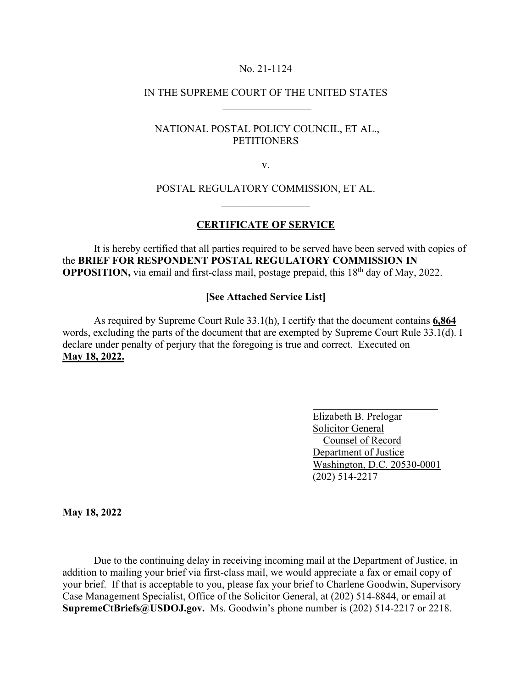#### No. 21-1124

# IN THE SUPREME COURT OF THE UNITED STATES  $\frac{1}{2}$  ,  $\frac{1}{2}$  ,  $\frac{1}{2}$  ,  $\frac{1}{2}$  ,  $\frac{1}{2}$  ,  $\frac{1}{2}$  ,  $\frac{1}{2}$  ,  $\frac{1}{2}$  ,  $\frac{1}{2}$  ,  $\frac{1}{2}$

# NATIONAL POSTAL POLICY COUNCIL, ET AL., **PETITIONERS**

v.

# POSTAL REGULATORY COMMISSION, ET AL.  $\frac{1}{2}$

### **CERTIFICATE OF SERVICE**

It is hereby certified that all parties required to be served have been served with copies of the **BRIEF FOR RESPONDENT POSTAL REGULATORY COMMISSION IN OPPOSITION,** via email and first-class mail, postage prepaid, this 18<sup>th</sup> day of May, 2022.

# **[See Attached Service List]**

 As required by Supreme Court Rule 33.1(h), I certify that the document contains **6,864**  words, excluding the parts of the document that are exempted by Supreme Court Rule 33.1(d). I declare under penalty of perjury that the foregoing is true and correct. Executed on **May 18, 2022.** 

> Elizabeth B. Prelogar Solicitor General Counsel of Record Department of Justice Washington, D.C. 20530-0001 (202) 514-2217

**May 18, 2022**

Due to the continuing delay in receiving incoming mail at the Department of Justice, in addition to mailing your brief via first-class mail, we would appreciate a fax or email copy of your brief. If that is acceptable to you, please fax your brief to Charlene Goodwin, Supervisory Case Management Specialist, Office of the Solicitor General, at (202) 514-8844, or email at **SupremeCtBriefs@USDOJ.gov.** Ms. Goodwin's phone number is (202) 514-2217 or 2218.